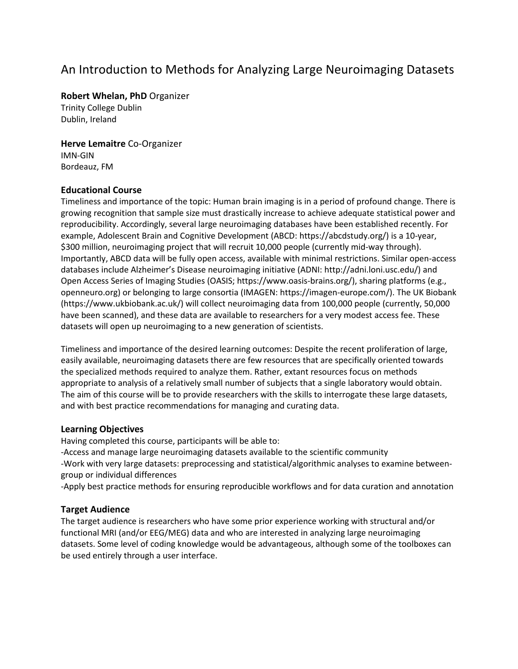## An Introduction to Methods for Analyzing Large Neuroimaging Datasets

**Robert Whelan, PhD** Organizer

Trinity College Dublin Dublin, Ireland

**Herve Lemaitre** Co-Organizer IMN-GIN Bordeauz, FM

#### **Educational Course**

Timeliness and importance of the topic: Human brain imaging is in a period of profound change. There is growing recognition that sample size must drastically increase to achieve adequate statistical power and reproducibility. Accordingly, several large neuroimaging databases have been established recently. For example, Adolescent Brain and Cognitive Development (ABCD: https://abcdstudy.org/) is a 10-year, \$300 million, neuroimaging project that will recruit 10,000 people (currently mid-way through). Importantly, ABCD data will be fully open access, available with minimal restrictions. Similar open-access databases include Alzheimer's Disease neuroimaging initiative (ADNI: http://adni.loni.usc.edu/) and Open Access Series of Imaging Studies (OASIS; https://www.oasis-brains.org/), sharing platforms (e.g., openneuro.org) or belonging to large consortia (IMAGEN: https://imagen-europe.com/). The UK Biobank (https://www.ukbiobank.ac.uk/) will collect neuroimaging data from 100,000 people (currently, 50,000 have been scanned), and these data are available to researchers for a very modest access fee. These datasets will open up neuroimaging to a new generation of scientists.

Timeliness and importance of the desired learning outcomes: Despite the recent proliferation of large, easily available, neuroimaging datasets there are few resources that are specifically oriented towards the specialized methods required to analyze them. Rather, extant resources focus on methods appropriate to analysis of a relatively small number of subjects that a single laboratory would obtain. The aim of this course will be to provide researchers with the skills to interrogate these large datasets, and with best practice recommendations for managing and curating data.

### **Learning Objectives**

Having completed this course, participants will be able to:

-Access and manage large neuroimaging datasets available to the scientific community -Work with very large datasets: preprocessing and statistical/algorithmic analyses to examine betweengroup or individual differences

-Apply best practice methods for ensuring reproducible workflows and for data curation and annotation

### **Target Audience**

The target audience is researchers who have some prior experience working with structural and/or functional MRI (and/or EEG/MEG) data and who are interested in analyzing large neuroimaging datasets. Some level of coding knowledge would be advantageous, although some of the toolboxes can be used entirely through a user interface.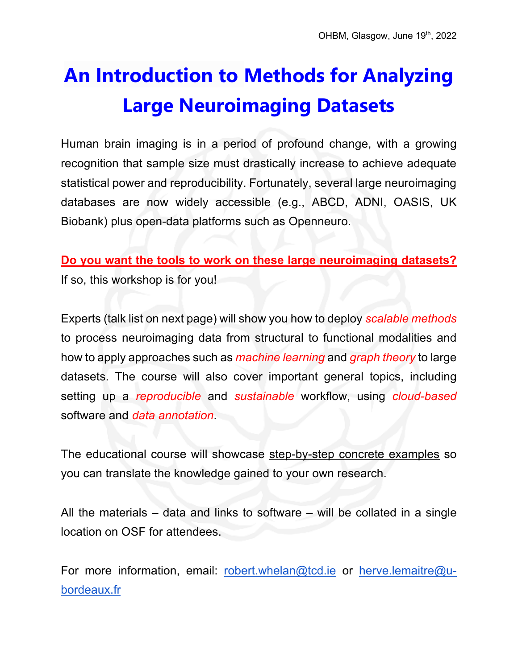# **An Introduction to Methods for Analyzing Large Neuroimaging Datasets**

Human brain imaging is in a period of profound change, with a growing recognition that sample size must drastically increase to achieve adequate statistical power and reproducibility. Fortunately, several large neuroimaging databases are now widely accessible (e.g., ABCD, ADNI, OASIS, UK Biobank) plus open-data platforms such as Openneuro.

**Do you want the tools to work on these large neuroimaging datasets?** If so, this workshop is for you!

Experts (talk list on next page) will show you how to deploy *scalable methods* to process neuroimaging data from structural to functional modalities and how to apply approaches such as *machine learning* and *graph theory* to large datasets. The course will also cover important general topics, including setting up a *reproducible* and *sustainable* workflow, using *cloud-based* software and *data annotation*.

The educational course will showcase step-by-step concrete examples so you can translate the knowledge gained to your own research.

All the materials – data and links to software – will be collated in a single location on OSF for attendees.

For more information, email: robert.whelan@tcd.ie or herve.lemaitre@ubordeaux.fr